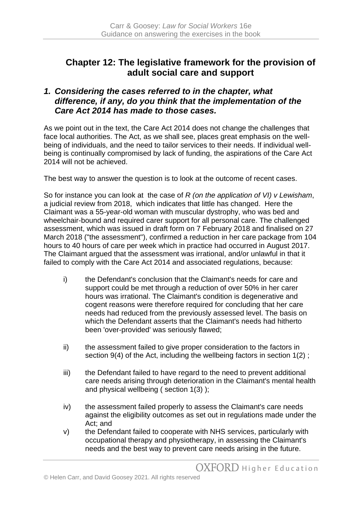# **Chapter 12: The legislative framework for the provision of adult social care and support**

## *1. Considering the cases referred to in the chapter, what difference, if any, do you think that the implementation of the Care Act 2014 has made to those cases.*

As we point out in the text, the Care Act 2014 does not change the challenges that face local authorities. The Act, as we shall see, places great emphasis on the wellbeing of individuals, and the need to tailor services to their needs. If individual wellbeing is continually compromised by lack of funding, the aspirations of the Care Act 2014 will not be achieved.

The best way to answer the question is to look at the outcome of recent cases.

So for instance you can look at the case of *R (on the application of VI) v Lewisham*, a judicial review from 2018, which indicates that little has changed. Here the Claimant was a 55-year-old woman with muscular dystrophy, who was bed and wheelchair-bound and required carer support for all personal care. The challenged assessment, which was issued in draft form on 7 February 2018 and finalised on 27 March 2018 ("the assessment"), confirmed a reduction in her care package from 104 hours to 40 hours of care per week which in practice had occurred in August 2017. The Claimant argued that the assessment was irrational, and/or unlawful in that it failed to comply with the [Care Act 2014](https://login-westlaw-co-uk.chain.kent.ac.uk/maf/wluk/app/document?src=doc&linktype=ref&context=20&crumb-action=replace&docguid=I9057E940E57D11E391CDB026AA83D685) and associated regulations, because:

- i) the Defendant's conclusion that the Claimant's needs for care and support could be met through a reduction of over 50% in her carer hours was irrational. The Claimant's condition is degenerative and cogent reasons were therefore required for concluding that her care needs had reduced from the previously assessed level. The basis on which the Defendant asserts that the Claimant's needs had hitherto been 'over-provided' was seriously flawed;
- ii) the assessment failed to give proper consideration to the factors in [section 9\(4\)](https://login-westlaw-co-uk.chain.kent.ac.uk/maf/wluk/app/document?src=doc&linktype=ref&context=20&crumb-action=replace&docguid=I6C55EC51E61C11E3A350A156035B4697) of the Act, including the wellbeing factors in [section 1\(2\)](https://login-westlaw-co-uk.chain.kent.ac.uk/maf/wluk/app/document?src=doc&linktype=ref&context=20&crumb-action=replace&docguid=I6C5290F1E61C11E3A350A156035B4697);
- iii) the Defendant failed to have regard to the need to prevent additional care needs arising through deterioration in the Claimant's mental health and physical wellbeing ( [section 1\(3\)](https://login-westlaw-co-uk.chain.kent.ac.uk/maf/wluk/app/document?src=doc&linktype=ref&context=20&crumb-action=replace&docguid=I6C5290F1E61C11E3A350A156035B4697) );
- iv) the assessment failed properly to assess the Claimant's care needs against the eligibility outcomes as set out in regulations made under the Act; and
- v) the Defendant failed to cooperate with NHS services, particularly with occupational therapy and physiotherapy, in assessing the Claimant's needs and the best way to prevent care needs arising in the future.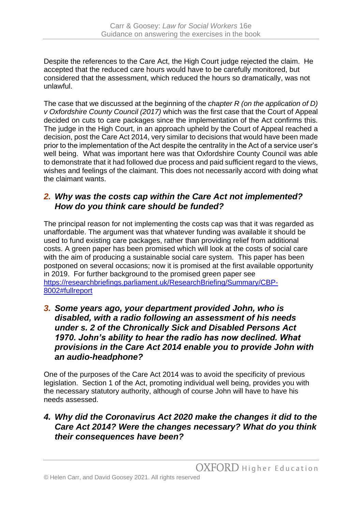Despite the references to the Care Act, the High Court judge rejected the claim. He accepted that the reduced care hours would have to be carefully monitored, but considered that the assessment, which reduced the hours so dramatically, was not unlawful.

The case that we discussed at the beginning of the *chapter R (on the application of D) v Oxfordshire County Council (2017)* which was the first case that the Court of Appeal decided on cuts to care packages since the implementation of the Act confirms this. The judge in the High Court, in an approach upheld by the Court of Appeal reached a decision, post the Care Act 2014, very similar to decisions that would have been made prior to the implementation of the Act despite the centrality in the Act of a service user's well being. What was important here was that Oxfordshire County Council was able to demonstrate that it had followed due process and paid sufficient regard to the views, wishes and feelings of the claimant. This does not necessarily accord with doing what the claimant wants.

## *2. Why was the costs cap within the Care Act not implemented? How do you think care should be funded?*

The principal reason for not implementing the costs cap was that it was regarded as unaffordable. The argument was that whatever funding was available it should be used to fund existing care packages, rather than providing relief from additional costs. A green paper has been promised which will look at the costs of social care with the aim of producing a sustainable social care system. This paper has been postponed on several occasions; now it is promised at the first available opportunity in 2019. For further background to the promised green paper see [https://researchbriefings.parliament.uk/ResearchBriefing/Summary/CBP-](https://researchbriefings.parliament.uk/ResearchBriefing/Summary/CBP-8002#fullreport)[8002#fullreport](https://researchbriefings.parliament.uk/ResearchBriefing/Summary/CBP-8002#fullreport)

#### *3. Some years ago, your department provided John, who is disabled, with a radio following an assessment of his needs under s. 2 of the Chronically Sick and Disabled Persons Act 1970. John's ability to hear the radio has now declined. What provisions in the Care Act 2014 enable you to provide John with an audio-headphone?*

One of the purposes of the Care Act 2014 was to avoid the specificity of previous legislation. Section 1 of the Act, promoting individual well being, provides you with the necessary statutory authority, although of course John will have to have his needs assessed.

## *4. Why did the Coronavirus Act 2020 make the changes it did to the Care Act 2014? Were the changes necessary? What do you think their consequences have been?*